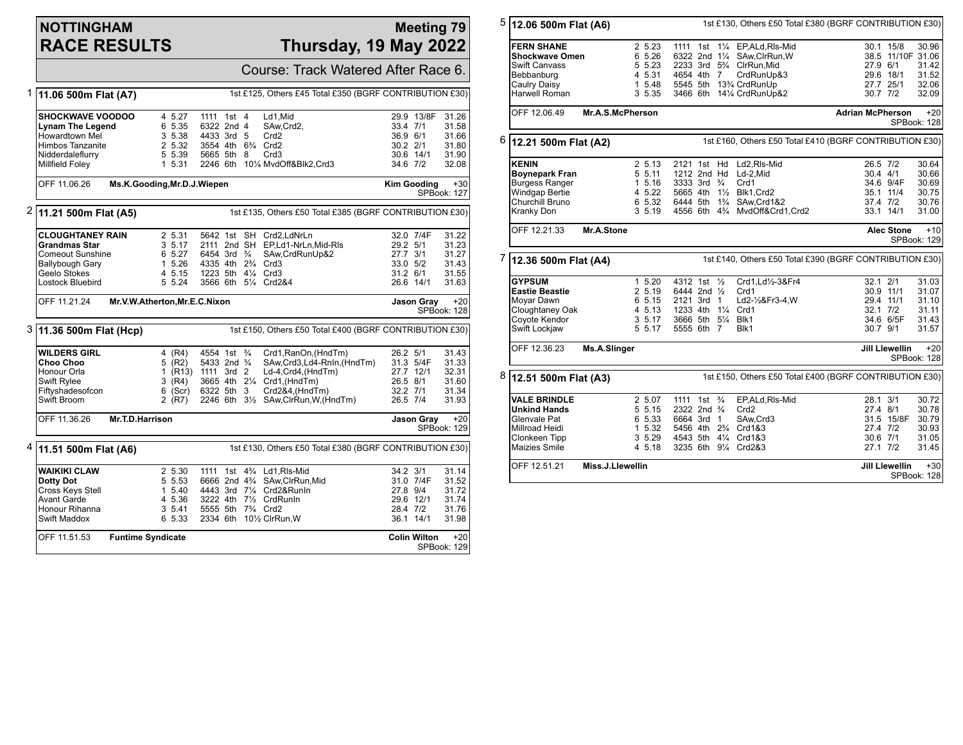### **NOTTINGHAM RACE RESULTS**

### **Meeting 79 Thursday, 19 May 2022**

|   |                                                                                    |                          |                    |                                             |  |  |                                    |                                                       | Course: Track Watered After Race 6.                     |           |                     |                      |
|---|------------------------------------------------------------------------------------|--------------------------|--------------------|---------------------------------------------|--|--|------------------------------------|-------------------------------------------------------|---------------------------------------------------------|-----------|---------------------|----------------------|
| 1 | 11.06 500m Flat (A7)                                                               |                          |                    |                                             |  |  |                                    |                                                       | 1st £125, Others £45 Total £350 (BGRF CONTRIBUTION £30) |           |                     |                      |
|   | <b>SHOCKWAVE VOODOO</b>                                                            |                          | 4 5.27             | 1111 1st 4                                  |  |  | Ld1.Mid                            |                                                       |                                                         |           | 29.9 13/8F          | 31.26                |
|   | <b>Lynam The Legend</b>                                                            |                          | 6 5.35             | 6322 2nd 4                                  |  |  | SAw, Crd2,                         |                                                       |                                                         | 33.4 7/1  |                     | 31.58                |
|   | Howardtown Mel                                                                     |                          | 3 5.38             | 4433 3rd 5                                  |  |  | Crd <sub>2</sub>                   |                                                       |                                                         | 36.9 6/1  |                     | 31.66                |
|   | <b>Himbos Tanzanite</b>                                                            |                          | 2 5.32             | 3554 4th 634 Crd2                           |  |  |                                    |                                                       |                                                         | 30.2 2/1  |                     | 31.80                |
|   | Nidderdaleflurry                                                                   |                          | 5 5.39             | 5665 5th 8                                  |  |  | Crd3                               |                                                       |                                                         | 30.6 14/1 |                     | 31.90                |
|   | Millfield Foley                                                                    |                          | 1 5.31             |                                             |  |  |                                    | 2246 6th 101/4 MvdOff&Blk2, Crd3                      |                                                         | 34.6 7/2  |                     | 32.08                |
|   | OFF 11.06.26<br>Ms.K.Gooding, Mr.D.J.Wiepen<br><b>Kim Gooding</b>                  |                          |                    |                                             |  |  |                                    | $+30$<br>SPBook: 127                                  |                                                         |           |                     |                      |
| 2 | 1st £135, Others £50 Total £385 (BGRF CONTRIBUTION £30)<br>11.21 500m Flat (A5)    |                          |                    |                                             |  |  |                                    |                                                       |                                                         |           |                     |                      |
|   | <b>CLOUGHTANEY RAIN</b>                                                            |                          | 2 5.31             |                                             |  |  | 5642 1st SH Crd2.LdNrLn            |                                                       |                                                         |           | 32.0 7/4F           | 31.22                |
|   | <b>Grandmas Star</b>                                                               |                          | 3 5.17             |                                             |  |  |                                    | 2111 2nd SH EP,Ld1-NrLn,Mid-RIs                       |                                                         | 29.2 5/1  |                     | 31.23                |
|   | <b>Comeout Sunshine</b>                                                            |                          | 6 5.27             | 6454 3rd $\frac{3}{4}$                      |  |  |                                    | SAw, CrdRunUp&2                                       |                                                         | 27.7 3/1  |                     | 31.27                |
|   | Ballybough Gary                                                                    |                          | 1 5.26             | 4335 4th 2 <sup>3</sup> / <sub>4</sub> Crd3 |  |  |                                    |                                                       |                                                         | 33.0 5/2  |                     | 31.43                |
|   | Geelo Stokes                                                                       |                          | 4 5.15             | 1223 5th 41/4 Crd3                          |  |  |                                    |                                                       |                                                         | 31.2 6/1  |                     | 31.55                |
|   | Lostock Bluebird                                                                   |                          | 5 5.24             |                                             |  |  | 3566 6th 51/4 Crd2&4               |                                                       |                                                         | 26.6 14/1 |                     | 31.63                |
|   | Mr.V.W.Atherton, Mr.E.C.Nixon<br>OFF 11.21.24<br>Jason Gray<br>SPBook: 128         |                          |                    |                                             |  |  |                                    | $+20$                                                 |                                                         |           |                     |                      |
|   | 3 11.36 500m Flat (Hcp)<br>1st £150, Others £50 Total £400 (BGRF CONTRIBUTION £30) |                          |                    |                                             |  |  |                                    |                                                       |                                                         |           |                     |                      |
|   | <b>WILDERS GIRL</b>                                                                |                          | 4 (R4)             | 4554 1st <sup>3</sup> / <sub>4</sub>        |  |  |                                    | Crd1, RanOn, (HndTm)                                  |                                                         | 26.2 5/1  |                     | 31.43                |
|   | Choo Choo                                                                          |                          | 5(R2)              | 5433 2nd <sup>3</sup> / <sub>4</sub>        |  |  |                                    |                                                       | SAw, Crd3, Ld4-RnIn, (HndTm)                            | 31.3 5/4F |                     | 31.33                |
|   | Honour Orla                                                                        |                          | 1 (R13) 1111 3rd 2 |                                             |  |  |                                    | Ld-4,Crd4,(HndTm)                                     |                                                         | 27.7 12/1 |                     | 32.31                |
|   | <b>Swift Rylee</b>                                                                 |                          | 3 (R4)             |                                             |  |  | 3665 4th 21/4 Crd1, (HndTm)        |                                                       |                                                         | 26.5 8/1  |                     | 31.60                |
|   | Fiftyshadesofcon                                                                   |                          | $6$ (Scr)          | 6322 5th 3                                  |  |  |                                    | Crd2&4,(HndTm)                                        |                                                         | 32.2 7/1  |                     | 31.34                |
|   | Swift Broom                                                                        |                          | 2 (R7)             |                                             |  |  |                                    | 2246 6th 31/2 SAw, ClrRun, W, (HndTm)                 |                                                         | 26.5 7/4  |                     | 31.93                |
|   | OFF 11.36.26<br>Mr.T.D.Harrison<br>Jason Gray<br>SPBook: 129                       |                          |                    |                                             |  |  |                                    | $+20$                                                 |                                                         |           |                     |                      |
| 4 | 11.51 500m Flat (A6)                                                               |                          |                    |                                             |  |  |                                    |                                                       | 1st £130, Others £50 Total £380 (BGRF CONTRIBUTION £30) |           |                     |                      |
|   | <b>WAIKIKI CLAW</b>                                                                |                          | 2 5.30             |                                             |  |  | 1111 1st 43/4 Ld1, RIs-Mid         |                                                       |                                                         | 34.2 3/1  |                     | 31.14                |
|   | Dotty Dot                                                                          |                          | 5 5.53             |                                             |  |  |                                    | 6666 2nd 4 <sup>3</sup> / <sub>4</sub> SAw.ClrRun.Mid |                                                         |           | 31.0 7/4F           | 31.52                |
|   | Cross Keys Stell                                                                   |                          | 1 5.40             |                                             |  |  | 4443 3rd 71/4 Crd2&RunIn           |                                                       |                                                         | 27.8 9/4  |                     | 31.72                |
|   | <b>Avant Garde</b>                                                                 |                          | 4 5.36             |                                             |  |  | 3222 4th 71/ <sub>2</sub> CrdRunIn |                                                       |                                                         | 29.6 12/1 |                     | 31.74                |
|   | Honour Rihanna                                                                     |                          | 3 5.41             | 5555 5th 734 Crd2                           |  |  |                                    |                                                       |                                                         | 28.4 7/2  |                     | 31.76                |
|   | Swift Maddox                                                                       |                          | 6 5.33             |                                             |  |  | 2334 6th 101/2 ClrRun, W           |                                                       |                                                         | 36.1 14/1 |                     | 31.98                |
|   | OFF 11.51.53                                                                       | <b>Funtime Syndicate</b> |                    |                                             |  |  |                                    |                                                       |                                                         |           | <b>Colin Wilton</b> | $+20$<br>SPBook: 129 |

| 5 |                       | 1st £130, Others £50 Total £380 (BGRF CONTRIBUTION £30)<br>12.06 500m Flat (A6) |                                                    |                                      |                                           |  |  |  |
|---|-----------------------|---------------------------------------------------------------------------------|----------------------------------------------------|--------------------------------------|-------------------------------------------|--|--|--|
|   | <b>FERN SHANE</b>     | 2 5.23                                                                          | 1111 1st 11/4 EP, ALd, RIs-Mid                     |                                      | 30.1 15/8<br>30.96                        |  |  |  |
|   | Shockwave Omen        | 6 5.26                                                                          | 6322 2nd 11/4 SAw, ClrRun, W                       |                                      | 38.5 11/10F 31.06                         |  |  |  |
|   | Swift Canvass         | 5 5.23                                                                          | 2233 3rd 53/4 ClrRun, Mid                          | 27.9 6/1                             | 31.42                                     |  |  |  |
|   | Bebbanburg            | 4 5.31                                                                          | 4654 4th 7                                         | CrdRunUp&3                           | 29.6 18/1<br>31.52                        |  |  |  |
|   | Caulry Daisy          | 1 5.48                                                                          | 5545 5th 13% CrdRunUp                              |                                      | 27.7 25/1<br>32.06                        |  |  |  |
|   | Harwell Roman         | 3 5.35                                                                          | 3466 6th 141/4 CrdRunUp&2                          | 30.7 7/2                             | 32.09                                     |  |  |  |
|   | OFF 12.06.49          | Mr.A.S.McPherson                                                                |                                                    | <b>Adrian McPherson</b>              | $+20$                                     |  |  |  |
|   |                       |                                                                                 | SPBook: 128                                        |                                      |                                           |  |  |  |
| 6 |                       | 1st £160, Others £50 Total £410 (BGRF CONTRIBUTION £30)<br>12.21 500m Flat (A2) |                                                    |                                      |                                           |  |  |  |
|   | <b>KENIN</b>          | 2 5.13                                                                          | 2121 1st Hd                                        | Ld2.RIs-Mid<br>26.5 7/2              | 30.64                                     |  |  |  |
|   | <b>Boynepark Fran</b> | 5 5.11                                                                          | 1212 2nd Hd<br>Ld-2,Mid                            | 30.4 4/1                             | 30.66                                     |  |  |  |
|   | Burgess Ranger        | 1, 5.16                                                                         | 3333 3rd $\frac{3}{4}$<br>Crd1                     |                                      | 34.6 9/4F<br>30.69                        |  |  |  |
|   | <b>Windgap Bertie</b> | 4 5.22                                                                          | 5665 4th 11/2 Blk1.Crd2                            |                                      | 35.1 11/4<br>30.75                        |  |  |  |
|   | Churchill Bruno       | 6 5.32                                                                          | 6444 5th 1 <sup>3</sup> / <sub>4</sub> SAw, Crd1&2 |                                      | 37.4 7/2<br>30.76                         |  |  |  |
|   | Kranky Don            | 3 5.19                                                                          | 4556 6th 43/4 MvdOff&Crd1,Crd2                     |                                      | 33.1 14/1<br>31.00                        |  |  |  |
|   | OFF 12.21.33          | Mr.A.Stone                                                                      |                                                    |                                      | <b>Alec Stone</b><br>$+10$<br>SPBook: 129 |  |  |  |
| 7 | 12.36 500m Flat (A4)  | 1st £140, Others £50 Total £390 (BGRF CONTRIBUTION £30)                         |                                                    |                                      |                                           |  |  |  |
|   | <b>GYPSUM</b>         | 1, 5.20                                                                         | 4312 1st 1/2                                       | Crd1,Ld1/2-3&Fr4<br>$32.1$ $2/1$     | 31.03                                     |  |  |  |
|   | <b>Eastie Beastie</b> | 2 5.19                                                                          | 6444 2nd $\frac{1}{2}$<br>Crd1                     |                                      | 30.9 11/1<br>31.07                        |  |  |  |
|   | Moyar Dawn            | 6 5.15                                                                          | 2121 3rd 1                                         | Ld2-1/2&Fr3-4, W                     | 29.4 11/1<br>31.10                        |  |  |  |
|   | Cloughtaney Oak       | 4 5.13                                                                          | 1233 4th 11/4 Crd1                                 | 32.1 7/2                             | 31.11                                     |  |  |  |
|   | Coyote Kendor         | 3, 5.17                                                                         | 3666 5th 51/4 Blk1                                 |                                      | 34.6 6/5F<br>31.43                        |  |  |  |
|   | Swift Lockjaw         | 5 5.17                                                                          | 5555 6th 7<br>Blk1                                 | 30.7 9/1                             | 31.57                                     |  |  |  |
|   | OFF 12.36.23          | Ms.A.Slinger                                                                    |                                                    | <b>Jill Llewellin</b><br>SPBook: 128 |                                           |  |  |  |
| 8 |                       | 1st £150, Others £50 Total £400 (BGRF CONTRIBUTION £30)<br>12.51 500m Flat (A3) |                                                    |                                      |                                           |  |  |  |
|   | <b>VALE BRINDLE</b>   | 2 5.07                                                                          | 1111 1st <sup>3</sup> / <sub>4</sub>               | EP,ALd,RIs-Mid<br>28.1 3/1           | 30.72                                     |  |  |  |
|   | Unkind Hands          | 5 5.15                                                                          | 2322 2nd 3/4<br>Crd <sub>2</sub>                   | 27.4 8/1                             | 30.78                                     |  |  |  |
|   | Glenvale Pat          | 6 5.33                                                                          | 6664 3rd 1<br>SAw, Crd3                            |                                      | 30.79<br>31.5 15/8F                       |  |  |  |
|   | Millroad Heidi        | 1 5.32                                                                          | 5456 4th 234 Crd1&3                                | 27.4 7/2                             | 30.93                                     |  |  |  |
|   | Clonkeen Tipp         | 3 5.29                                                                          | 4543 5th 41/4 Crd1&3                               | 30.6 7/1                             | 31.05                                     |  |  |  |
|   | Maizies Smile         | 4 5.18                                                                          | 3235 6th 91/4 Crd2&3                               | 27.1 7/2                             | 31.45                                     |  |  |  |
|   | OFF 12.51.21          |                                                                                 | <b>Jill Llewellin</b><br>$+30$<br>SPBook: 128      |                                      |                                           |  |  |  |